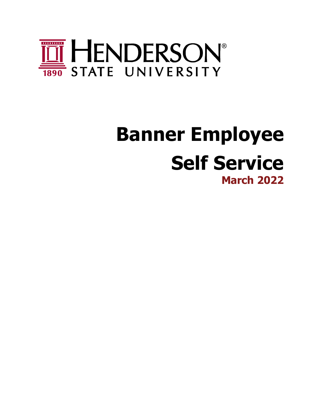

# <span id="page-0-1"></span><span id="page-0-0"></span>**Banner Employee Self Service March 2022**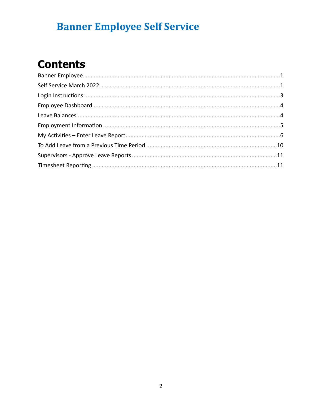# **Contents**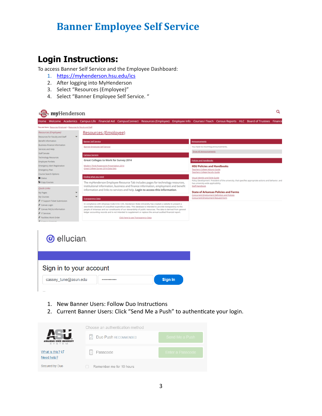### <span id="page-2-0"></span>**Login Instructions:**

To access Banner Self Service and the Employee Dashboard:

- 1. <https://myhenderson.hsu.edu/ics>
- 2. After logging into MyHenderson
- 3. Select "Resources (Employee)"
- 4. Select "Banner Employee Self Service. "

#### Q myHenderson Home Welcome Academics Campus-Life Financial-Aid CampusConnect Resources(Employee) Employee-Info Courses|Teach Census-Reports HLC Board-of-Trustees Financi Resources (Employee) Resources (Employee) Resources for Faculty and Staff Benefit Information Banner Self Service **Business-Finance Information** Banner Employee Self Service Services and Help Show All Announcements Staff Senate Campus Surveys Technology Resources Great Colleges to Work for Survey 2014 Employee Portlets **Emergency Alert Registratio** Modern Think Powerpoint Presentation 2014 **HSU Policies and Handbooks** Great College Survey 2014 Data Sets Emergency Plan Teachers College Adjunct G Teachers College Faculty Guide Course Search Options Finding what you need <u>Visual identity and Style Guide</u><br>Policy Development President of the university, that specifies appropriate actions and behavior, and<br>Nas university-wide applicability.<br><u>Staff Handbook</u> Status ... **Q** Copy Courses The myHenderson Employee Resource Tab includes pages for technology resources,<br>institutional information, business and finance information, employment and benefit Ouick Links information and links to services and help. Login to access this information. **State of Arkansas Policies and Forms** My Pages  $\ddot{\phantom{1}}$ Concurrent Employment Definition and<br>Concurrent Employment Request Form My Courses arency Data # IT Support Ticket Sub mpliance with Arkansas Code 6-61-125, Henderson State University has created a website to prese<br>hable database of unaudited expenditure data. This database is intended to provide transparency to<br>le of Arkansas and our cons Canvas Login Canvas FAQ & Information *<i>A* IT Services # Facilities Work Order Click here to see Transparency Data



- 1. New Banner Users: Follow Duo Instructions
- 2. Current Banner Users: Click "Send Me a Push" to authenticate your login.

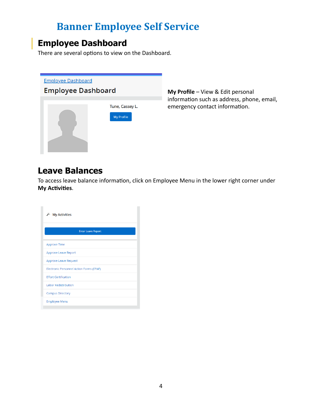### <span id="page-3-0"></span>**Employee Dashboard**

There are several options to view on the Dashboard.



**My Profile** – View & Edit personal information such as address, phone, email, emergency contact information.

### <span id="page-3-1"></span>**Leave Balances**

To access leave balance information, click on Employee Menu in the lower right corner under **My Activities**.

| j.<br><b>My Activities</b>               |
|------------------------------------------|
| <b>Enter Leave Report</b>                |
| Approve Time                             |
| Approve Leave Report                     |
| <b>Approve Leave Request</b>             |
| Electronic Personnel Action Forms (EPAF) |
| <b>Effort Certification</b>              |
| Labor Redistribution                     |
| <b>Campus Directory</b>                  |
| <b>Employee Menu</b>                     |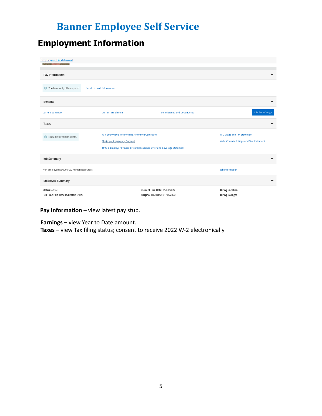### <span id="page-4-0"></span>**Employment Information**

| <b>Employee Dashboard</b>                                     |                                                                                                                                                                    |                                                                        |                                                                     |
|---------------------------------------------------------------|--------------------------------------------------------------------------------------------------------------------------------------------------------------------|------------------------------------------------------------------------|---------------------------------------------------------------------|
| Pay Information                                               |                                                                                                                                                                    |                                                                        | $\checkmark$                                                        |
| You have not yet been paid.                                   | <b>Direct Deposit Information</b>                                                                                                                                  |                                                                        |                                                                     |
| <b>Benefits</b>                                               |                                                                                                                                                                    |                                                                        | $\checkmark$                                                        |
| <b>Current Summary</b>                                        | <b>Current Enrollment</b>                                                                                                                                          | <b>Beneficiaries and Dependents</b>                                    | <b>Life Event Change</b>                                            |
| Taxes                                                         |                                                                                                                                                                    |                                                                        | $\checkmark$                                                        |
| No tax information exists.                                    | W-4 Employee's Withholding Allowance Certificate<br><b>Electronic Regulatory Consent</b><br>1095-C Employer Provided Health Insurance Offer and Coverage Statement |                                                                        | W-2 Wage and Tax Statement<br>W-2c Corrected Wage and Tax Statement |
| <b>Job Summary</b>                                            |                                                                                                                                                                    |                                                                        | $\checkmark$                                                        |
| Non Employee N00096-00, Human Resources                       |                                                                                                                                                                    |                                                                        | Job Information                                                     |
| <b>Employee Summary</b>                                       |                                                                                                                                                                    |                                                                        | ❤                                                                   |
| <b>Status: Active</b><br>Full Time Part Time Indicator: Other |                                                                                                                                                                    | <b>Current Hire Date: 01/01/2022</b><br>Original Hire Date: 01/01/2022 | <b>Hiring Location:</b><br><b>Hiring College:</b>                   |

**Pay Information** – view latest pay stub.

**Earnings** – view Year to Date amount.

Taxes - view Tax filing status; consent to receive 2022 W-2 electronically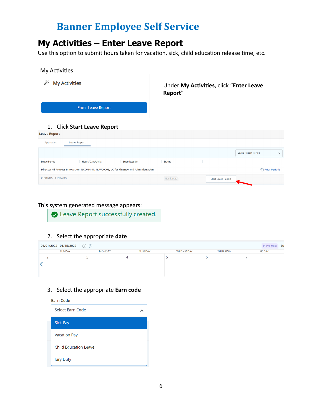### <span id="page-5-0"></span>**My Activities – Enter Leave Report**

Use this option to submit hours taken for vacation, sick, child education release time, etc.

#### My Activities

| <b>My Activities</b>                               | Under My Activities, click "Enter Leave<br>Report" |
|----------------------------------------------------|----------------------------------------------------|
| <b>Enter Leave Report</b>                          |                                                    |
| 1. Click Start Leave Report<br><b>Leave Report</b> |                                                    |
| <b>Leave Report</b><br>Approvals                   |                                                    |

|                         |                                                                                         |              |             |                           | <b>Leave Report Period</b> |                               | $\checkmark$ |
|-------------------------|-----------------------------------------------------------------------------------------|--------------|-------------|---------------------------|----------------------------|-------------------------------|--------------|
| <b>Leave Period</b>     | Hours/Days/Units                                                                        | Submitted On | Status      |                           |                            |                               |              |
|                         | Director Of Process Innovation, NC0014-00, N, W00003, VC for Finance and Administration |              |             |                           |                            | <sup>(</sup> C) Prior Periods |              |
| 01/01/2022 - 01/15/2022 |                                                                                         |              | Not Started | <b>Start Leave Report</b> |                            |                               |              |
|                         |                                                                                         |              |             |                           |                            |                               |              |

#### This system generated message appears:

Leave Report successfully created.

#### 2. Select the appropriate **date**

| 01/01/2022 - 01/15/2022 $(i)$ |               |                |           |                 | In Progress Su |
|-------------------------------|---------------|----------------|-----------|-----------------|----------------|
| SUNDAY                        | <b>MONDAY</b> | <b>TUESDAY</b> | WEDNESDAY | <b>THURSDAY</b> | <b>FRIDAY</b>  |
|                               |               |                |           |                 |                |

#### 3. Select the appropriate **Earn code**

**Earn Code** 

| <b>Select Earn Code</b>      |  |
|------------------------------|--|
| <b>Sick Pay</b>              |  |
| <b>Vacation Pay</b>          |  |
| <b>Child Education Leave</b> |  |
| <b>Jury Duty</b>             |  |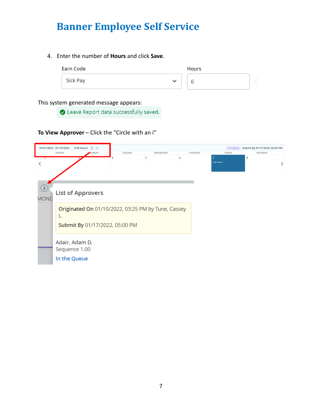4. Enter the number of **Hours** and click **Save**.

| Earn Code |              | <b>Hours</b> |  |
|-----------|--------------|--------------|--|
| Sick Pay  | $\checkmark$ |              |  |

#### This system generated message appears:

● Leave Report data successfully saved.

#### **To View Approver** – Click the "Circle with an i"

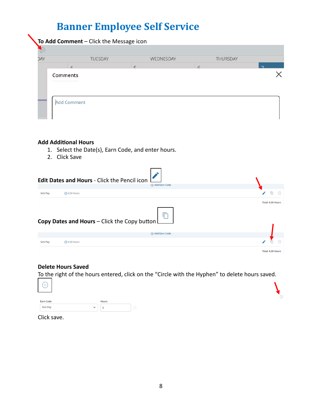| <b>DAY</b> | <b>TUESDAY</b> | <b>WEDNESDAY</b> | <b>THURSDAY</b> |                          |
|------------|----------------|------------------|-----------------|--------------------------|
|            | $\overline{A}$ | ┍                | $\epsilon$      | $\overline{\phantom{a}}$ |
|            |                |                  |                 |                          |
|            |                |                  |                 |                          |
|            |                |                  |                 |                          |
| Comments   |                |                  |                 |                          |
|            |                |                  |                 |                          |
|            |                |                  |                 |                          |
|            |                |                  |                 |                          |

#### **Add Additional Hours**

- 1. Select the Date(s), Earn Code, and enter hours.
- 2. Click Save

| Edit Dates and Hours - Click the Pencil icon<br><b>Example 2</b> Add Earn Code |                   |
|--------------------------------------------------------------------------------|-------------------|
|                                                                                | 戶<br>$\Theta$     |
| Copy Dates and Hours - Click the Copy button                                   | Total: 6.00 Hours |
|                                                                                |                   |
|                                                                                |                   |
|                                                                                | (+) Add Earn Code |

#### **Delete Hours Saved**

To the right of the hours entered, click on the "Circle with the Hyphen" to delete hours saved.

 $\Theta$ 

| $\hspace{0.1mm}-\hspace{0.1mm}$ |              |              |          |  |
|---------------------------------|--------------|--------------|----------|--|
| <b>Earn Code</b>                |              | <b>Hours</b> |          |  |
| <b>Sick Pay</b>                 | $\checkmark$ | b            | $\Theta$ |  |

Click save.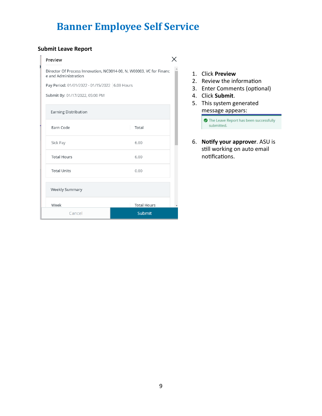#### **Submit Leave Report**

#### Preview

#### $\times$

Director Of Process Innovation, NC0014-00, N, W00003, VC for Financ e and Administration

Pay Period: 01/01/2022 - 01/15/2022 6.00 Hours

Submit By: 01/17/2022, 05:00 PM

| Earning Distribution |                    |
|----------------------|--------------------|
| Earn Code            | Total              |
| Sick Pay             | 6.00               |
| <b>Total Hours</b>   | 6.00               |
| <b>Total Units</b>   | 0.00               |
| Weekly Summary       |                    |
| Week                 | <b>Total Hours</b> |
| Cancel               | <b>Submit</b>      |

- 1. Click **Preview**
- 2. Review the information
- 3. Enter Comments (optional)
- 4. Click **Submit**.
- 5. This system generated message appears:

The Leave Report has been successfully submitted.

6. **Notify your approver**. ASU is still working on auto email notifications.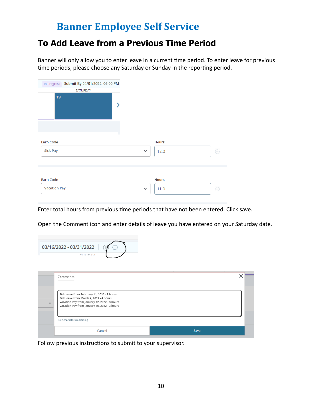### <span id="page-9-0"></span>**To Add Leave from a Previous Time Period**

Banner will only allow you to enter leave in a current time period. To enter leave for previous time periods, please choose any Saturday or Sunday in the reporting period.

| SATURDAY<br>19<br><b>Earn Code</b>      |                                  |
|-----------------------------------------|----------------------------------|
|                                         |                                  |
| <b>Sick Pay</b><br>$\checkmark$         | <b>Hours</b><br>12.0<br><b>C</b> |
| <b>Earn Code</b><br><b>Vacation Pay</b> | <b>Hours</b>                     |

Enter total hours from previous time periods that have not been entered. Click save.

Open the Comment icon and enter details of leave you have entered on your Saturday date.

| 03/16/2022 - 03/31/2022 |  |
|-------------------------|--|
| CLINICAN A              |  |

|              | Comments                                                                                                                                                                               |      |
|--------------|----------------------------------------------------------------------------------------------------------------------------------------------------------------------------------------|------|
| $\checkmark$ | Sick leave from February 11, 2022 - 8 hours<br>Sick leave from March 4, 2022 - 4 hours<br>Vacation Pay from January 12, 2022 - 8 hours<br>Vacation Pay from January 15, 2022 - 3 hours |      |
|              | 1827 characters remaining                                                                                                                                                              |      |
|              | Cancel                                                                                                                                                                                 | Save |

Follow previous instructions to submit to your supervisor.